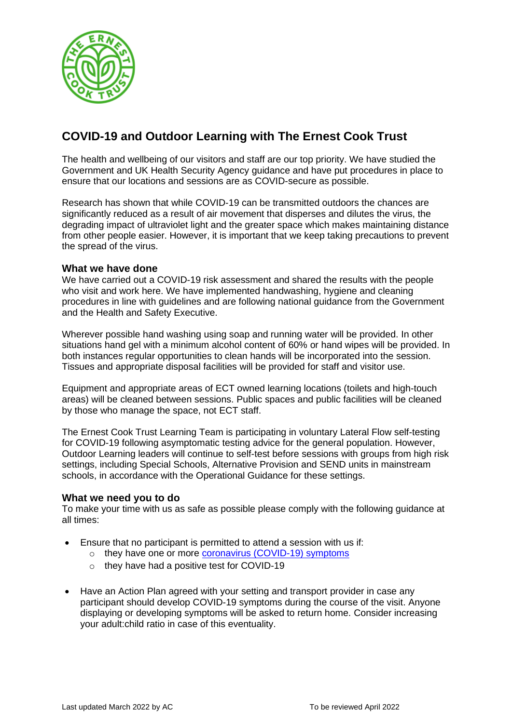

## **COVID-19 and Outdoor Learning with The Ernest Cook Trust**

The health and wellbeing of our visitors and staff are our top priority. We have studied the Government and UK Health Security Agency guidance and have put procedures in place to ensure that our locations and sessions are as COVID-secure as possible.

Research has shown that while COVID-19 can be transmitted outdoors the chances are significantly reduced as a result of air movement that disperses and dilutes the virus, the degrading impact of ultraviolet light and the greater space which makes maintaining distance from other people easier. However, it is important that we keep taking precautions to prevent the spread of the virus.

## **What we have done**

We have carried out a COVID-19 risk assessment and shared the results with the people who visit and work here. We have implemented handwashing, hygiene and cleaning procedures in line with guidelines and are following national guidance from the Government and the Health and Safety Executive.

Wherever possible hand washing using soap and running water will be provided. In other situations hand gel with a minimum alcohol content of 60% or hand wipes will be provided. In both instances regular opportunities to clean hands will be incorporated into the session. Tissues and appropriate disposal facilities will be provided for staff and visitor use.

Equipment and appropriate areas of ECT owned learning locations (toilets and high-touch areas) will be cleaned between sessions. Public spaces and public facilities will be cleaned by those who manage the space, not ECT staff.

The Ernest Cook Trust Learning Team is participating in voluntary Lateral Flow self-testing for COVID-19 following asymptomatic testing advice for the general population. However, Outdoor Learning leaders will continue to self-test before sessions with groups from high risk settings, including Special Schools, Alternative Provision and SEND units in mainstream schools, in accordance with the Operational Guidance for these settings.

## **What we need you to do**

To make your time with us as safe as possible please comply with the following guidance at all times:

- Ensure that no participant is permitted to attend a session with us if:
	- o they have one or more [coronavirus \(COVID-19\) symptoms](https://www.nhs.uk/conditions/coronavirus-covid-19/symptoms/)
	- o they have had a positive test for COVID-19
- Have an Action Plan agreed with your setting and transport provider in case any participant should develop COVID-19 symptoms during the course of the visit. Anyone displaying or developing symptoms will be asked to return home. Consider increasing your adult:child ratio in case of this eventuality.